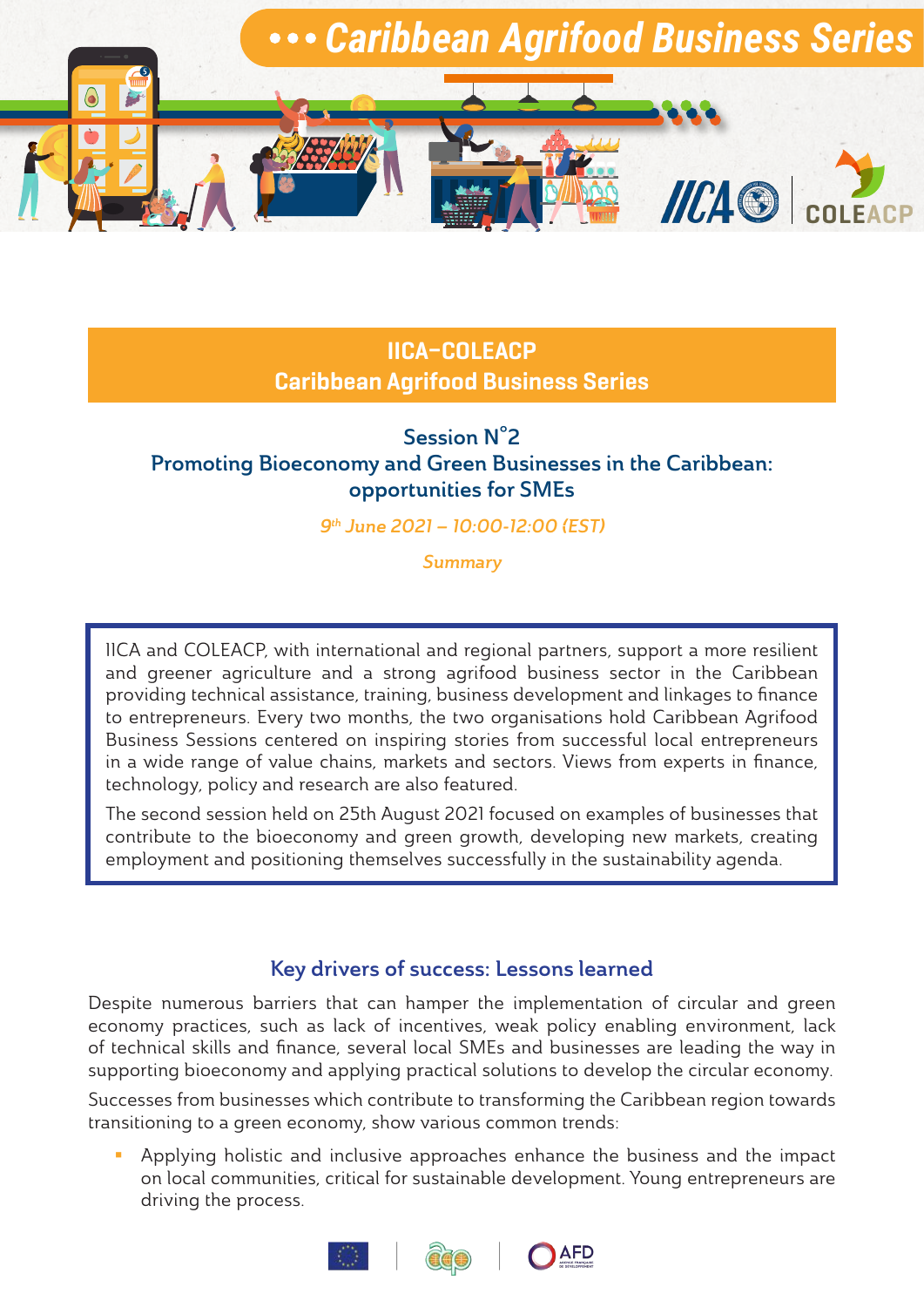

# IICA–COLEACP Caribbean Agrifood Business Series

# Session N°2 Promoting Bioeconomy and Green Businesses in the Caribbean: opportunities for SMEs

9th June 2021 – 10:00-12:00 (EST)

Summary

IICA and COLEACP, with international and regional partners, support a more resilient and greener agriculture and a strong agrifood business sector in the Caribbean providing technical assistance, training, business development and linkages to finance to entrepreneurs. Every two months, the two organisations hold Caribbean Agrifood Business Sessions centered on inspiring stories from successful local entrepreneurs in a wide range of value chains, markets and sectors. Views from experts in finance, technology, policy and research are also featured.

The second session held on 25th August 2021 focused on examples of businesses that contribute to the bioeconomy and green growth, developing new markets, creating employment and positioning themselves successfully in the sustainability agenda.

# Key drivers of success: Lessons learned

Despite numerous barriers that can hamper the implementation of circular and green economy practices, such as lack of incentives, weak policy enabling environment, lack of technical skills and finance, several local SMEs and businesses are leading the way in supporting bioeconomy and applying practical solutions to develop the circular economy.

Successes from businesses which contribute to transforming the Caribbean region towards transitioning to a green economy, show various common trends:

**Applying holistic and inclusive approaches enhance the business and the impact** on local communities, critical for sustainable development. Young entrepreneurs are driving the process.



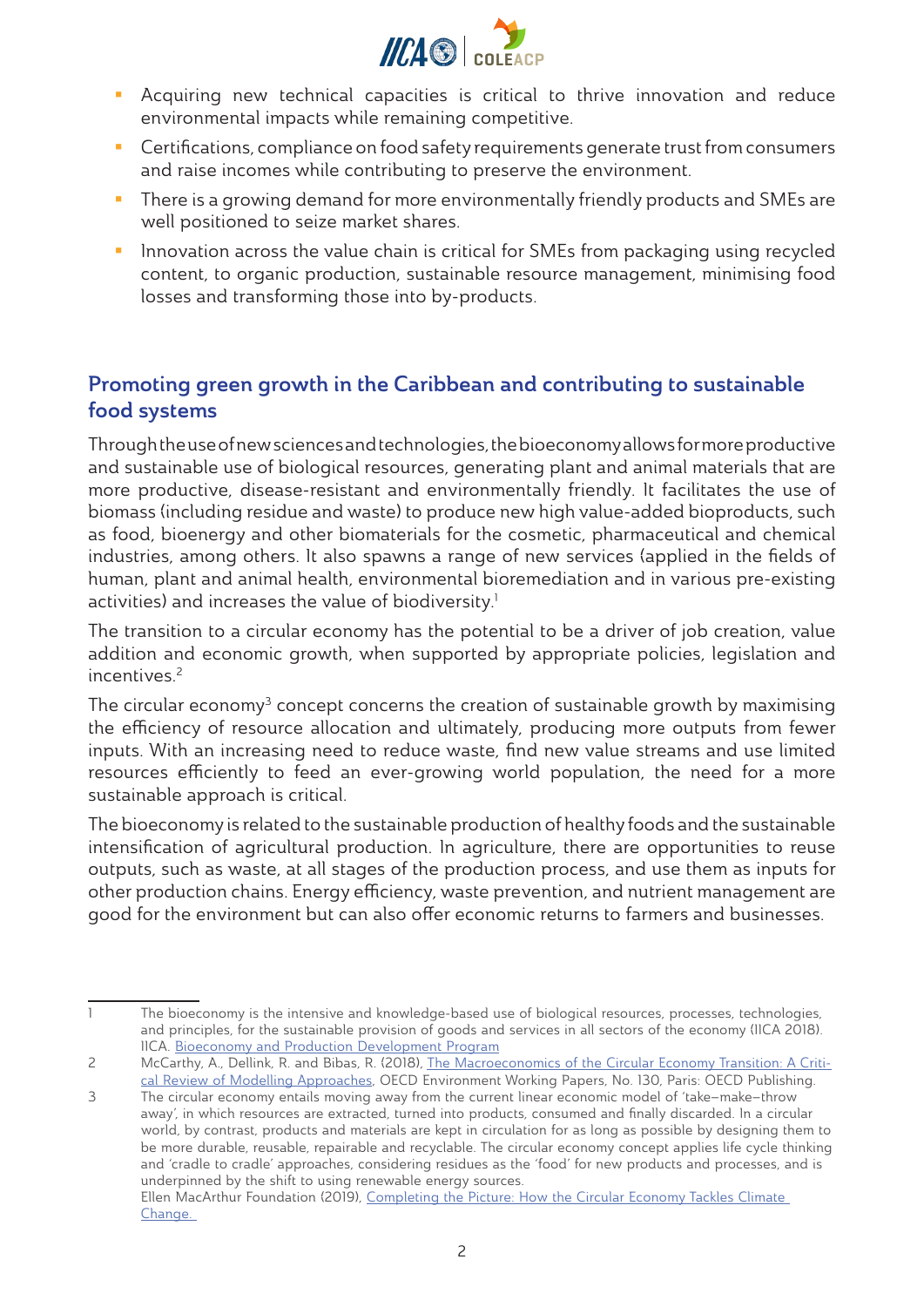

- Acquiring new technical capacities is critical to thrive innovation and reduce environmental impacts while remaining competitive.
- **EXP** Certifications, compliance on food safety requirements generate trust from consumers and raise incomes while contributing to preserve the environment.
- **There is a growing demand for more environmentally friendly products and SMEs are** well positioned to seize market shares.
- **Innovation across the value chain is critical for SMEs from packaging using recycled** content, to organic production, sustainable resource management, minimising food losses and transforming those into by-products.

# Promoting green growth in the Caribbean and contributing to sustainable food systems

Through the use of new sciences and technologies, the bioeconomy allows for more productive and sustainable use of biological resources, generating plant and animal materials that are more productive, disease-resistant and environmentally friendly. It facilitates the use of biomass (including residue and waste) to produce new high value-added bioproducts, such as food, bioenergy and other biomaterials for the cosmetic, pharmaceutical and chemical industries, among others. It also spawns a range of new services (applied in the fields of human, plant and animal health, environmental bioremediation and in various pre-existing activities) and increases the value of biodiversity.<sup>1</sup>

The transition to a circular economy has the potential to be a driver of job creation, value addition and economic growth, when supported by appropriate policies, legislation and  $incentives<sup>2</sup>$ 

The circular economy<sup>3</sup> concept concerns the creation of sustainable growth by maximising the efficiency of resource allocation and ultimately, producing more outputs from fewer inputs. With an increasing need to reduce waste, find new value streams and use limited resources efficiently to feed an ever-growing world population, the need for a more sustainable approach is critical.

The bioeconomy is related to the sustainable production of healthy foods and the sustainable intensification of agricultural production. In agriculture, there are opportunities to reuse outputs, such as waste, at all stages of the production process, and use them as inputs for other production chains. Energy efficiency, waste prevention, and nutrient management are good for the environment but can also offer economic returns to farmers and businesses.

<sup>1</sup> The bioeconomy is the intensive and knowledge-based use of biological resources, processes, technologies, and principles, for the sustainable provision of goods and services in all sectors of the economy (IICA 2018). IICA. [Bioeconomy and Production Development Program](https://repositorio.iica.int/bitstream/handle/11324/7909/BVE19040201i.pdf?sequence=2)

<sup>2</sup> McCarthy, A., Dellink, R. and Bibas, R. (2018), [The Macroeconomics of the Circular Economy Transition: A Criti](https://www.oecd-ilibrary.org/docserver/af983f9a-en.pdf?expires=1627833125&id=id&accname=guest&checksum=B6E78EE26343114CA5150D752A6FD4C3)[cal Review of Modelling Approaches,](https://www.oecd-ilibrary.org/docserver/af983f9a-en.pdf?expires=1627833125&id=id&accname=guest&checksum=B6E78EE26343114CA5150D752A6FD4C3) OECD Environment Working Papers, No. 130, Paris: OECD Publishing.

<sup>3</sup> The circular economy entails moving away from the current linear economic model of 'take–make–throw away', in which resources are extracted, turned into products, consumed and finally discarded. In a circular world, by contrast, products and materials are kept in circulation for as long as possible by designing them to be more durable, reusable, repairable and recyclable. The circular economy concept applies life cycle thinking and 'cradle to cradle' approaches, considering residues as the 'food' for new products and processes, and is underpinned by the shift to using renewable energy sources. Ellen MacArthur Foundation (2019), [Completing the Picture: How the Circular Economy Tackles Climate](https://www.ellenmacarthurfoundation.org/assets/downloads/Completing_The_Picture_How_The_Circular_Economy-_Tackles_Climate_Change_V3_26_September.pdf)  [Change.](https://www.ellenmacarthurfoundation.org/assets/downloads/Completing_The_Picture_How_The_Circular_Economy-_Tackles_Climate_Change_V3_26_September.pdf)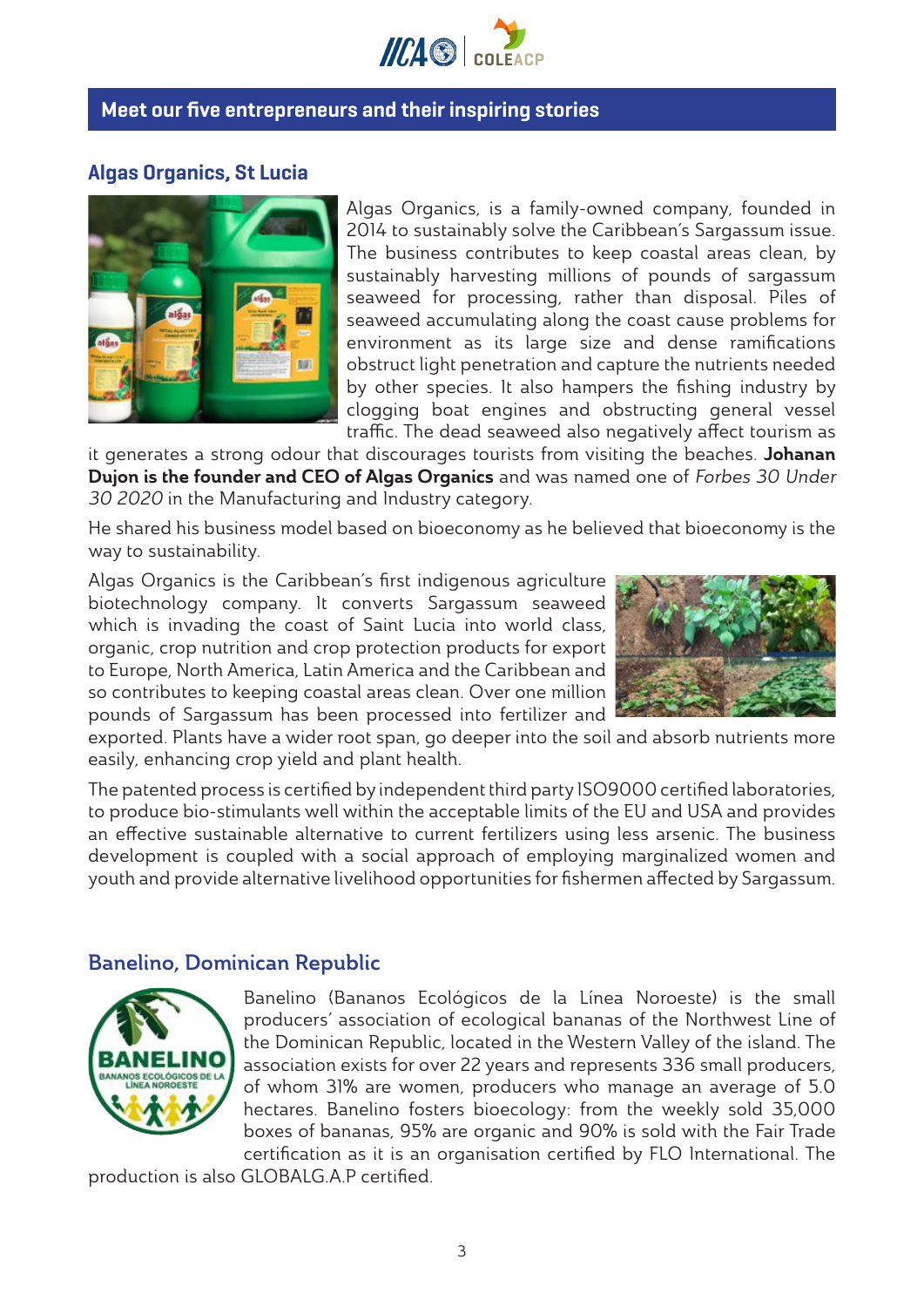

# Meet our five entrepreneurs and their inspiring stories

# Algas Organics, St Lucia



Algas Organics, is a family-owned company, founded in 2014 to sustainably solve the Caribbean's Sargassum issue. The business contributes to keep coastal areas clean, by sustainably harvesting millions of pounds of sargassum seaweed for processing, rather than disposal. Piles of seaweed accumulating along the coast cause problems for environment as its large size and dense ramifications obstruct light penetration and capture the nutrients needed by other species. It also hampers the fishing industry by clogging boat engines and obstructing general vessel traffic. The dead seaweed also negatively affect tourism as

it generates a strong odour that discourages tourists from visiting the beaches. Johanan Dujon is the founder and CEO of Algas Organics and was named one of Forbes 30 Under 30 2020 in the Manufacturing and Industry category.

He shared his business model based on bioeconomy as he believed that bioeconomy is the way to sustainability.

Algas Organics is the Caribbean's first indigenous agriculture biotechnology company. It converts Sargassum seaweed which is invading the coast of Saint Lucia into world class, organic, crop nutrition and crop protection products for export to Europe, North America, Latin America and the Caribbean and so contributes to keeping coastal areas clean. Over one million pounds of Sargassum has been processed into fertilizer and



exported. Plants have a wider root span, go deeper into the soil and absorb nutrients more easily, enhancing crop yield and plant health.

The patented process is certified by independent third party ISO9000 certified laboratories, to produce bio-stimulants well within the acceptable limits of the EU and USA and provides an effective sustainable alternative to current fertilizers using less arsenic. The business development is coupled with a social approach of employing marginalized women and youth and provide alternative livelihood opportunities for fishermen affected by Sargassum.

#### Banelino, Dominican Republic



Banelino (Bananos Ecológicos de la Línea Noroeste) is the small producers' association of ecological bananas of the Northwest Line of the Dominican Republic, located in the Western Valley of the island. The association exists for over 22 years and represents 336 small producers, of whom 31% are women, producers who manage an average of 5.0 hectares. Banelino fosters bioecology: from the weekly sold 35,000 boxes of bananas, 95% are organic and 90% is sold with the Fair Trade certification as it is an organisation certified by FLO International. The

production is also GLOBALG.A.P certified.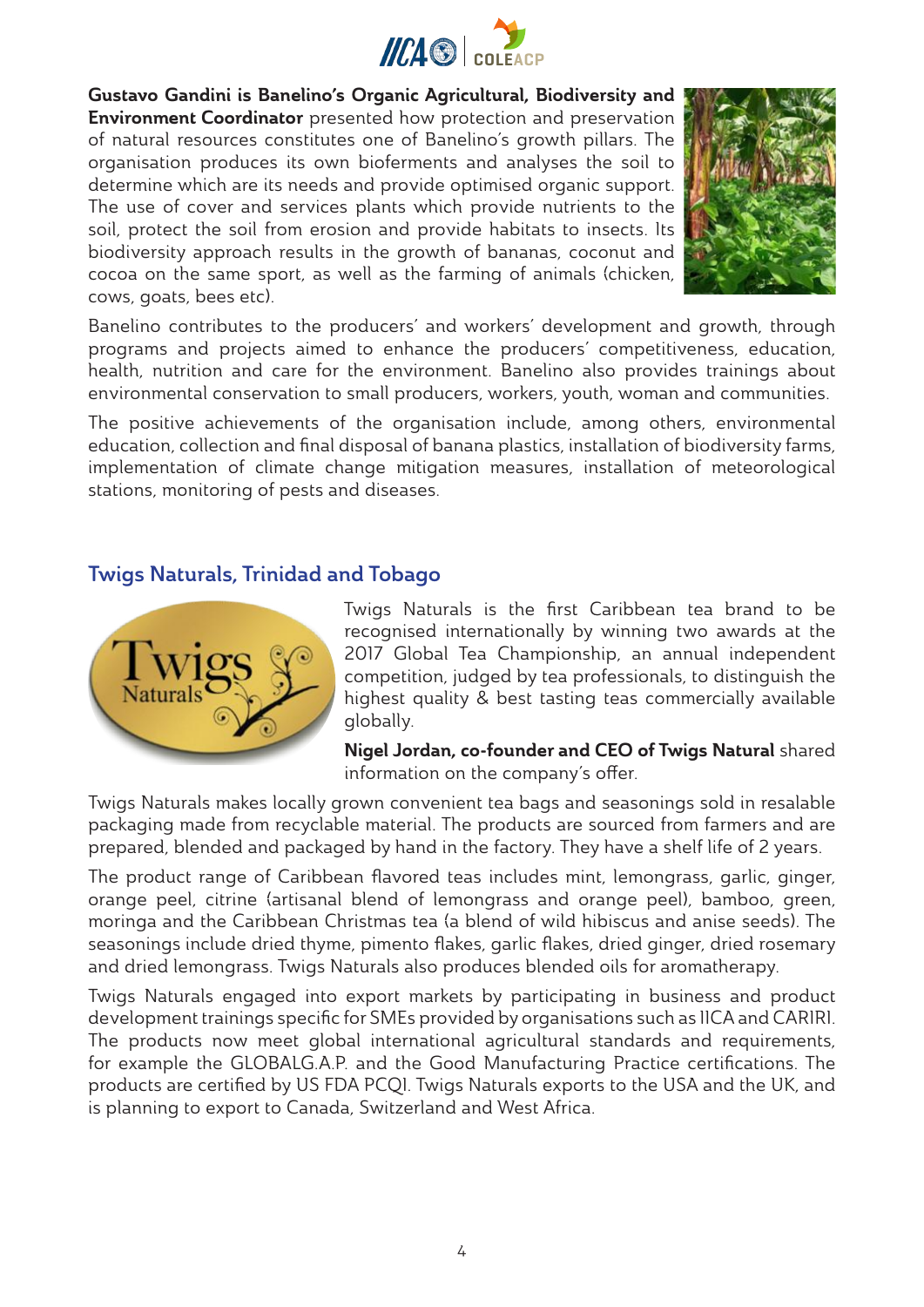

Gustavo Gandini is Banelino's Organic Agricultural, Biodiversity and **Environment Coordinator** presented how protection and preservation of natural resources constitutes one of Banelino's growth pillars. The organisation produces its own bioferments and analyses the soil to determine which are its needs and provide optimised organic support. The use of cover and services plants which provide nutrients to the soil, protect the soil from erosion and provide habitats to insects. Its biodiversity approach results in the growth of bananas, coconut and cocoa on the same sport, as well as the farming of animals (chicken, cows, goats, bees etc).



Banelino contributes to the producers' and workers' development and growth, through programs and projects aimed to enhance the producers' competitiveness, education, health, nutrition and care for the environment. Banelino also provides trainings about environmental conservation to small producers, workers, youth, woman and communities.

The positive achievements of the organisation include, among others, environmental education, collection and final disposal of banana plastics, installation of biodiversity farms, implementation of climate change mitigation measures, installation of meteorological stations, monitoring of pests and diseases.

# Twigs Naturals, Trinidad and Tobago



Twigs Naturals is the first Caribbean tea brand to be recognised internationally by winning two awards at the 2017 Global Tea Championship, an annual independent competition, judged by tea professionals, to distinguish the highest quality & best tasting teas commercially available globally.

Nigel Jordan, co-founder and CEO of Twigs Natural shared information on the company's offer.

Twigs Naturals makes locally grown convenient tea bags and seasonings sold in resalable packaging made from recyclable material. The products are sourced from farmers and are prepared, blended and packaged by hand in the factory. They have a shelf life of 2 years.

The product range of Caribbean flavored teas includes mint, lemongrass, garlic, ginger, orange peel, citrine (artisanal blend of lemongrass and orange peel), bamboo, green, moringa and the Caribbean Christmas tea (a blend of wild hibiscus and anise seeds). The seasonings include dried thyme, pimento flakes, garlic flakes, dried ginger, dried rosemary and dried lemongrass. Twigs Naturals also produces blended oils for aromatherapy.

Twigs Naturals engaged into export markets by participating in business and product development trainings specific for SMEs provided by organisations such as IICA and CARIRI. The products now meet global international agricultural standards and requirements, for example the GLOBALG.A.P. and the Good Manufacturing Practice certifications. The products are certified by US FDA PCQI. Twigs Naturals exports to the USA and the UK, and is planning to export to Canada, Switzerland and West Africa.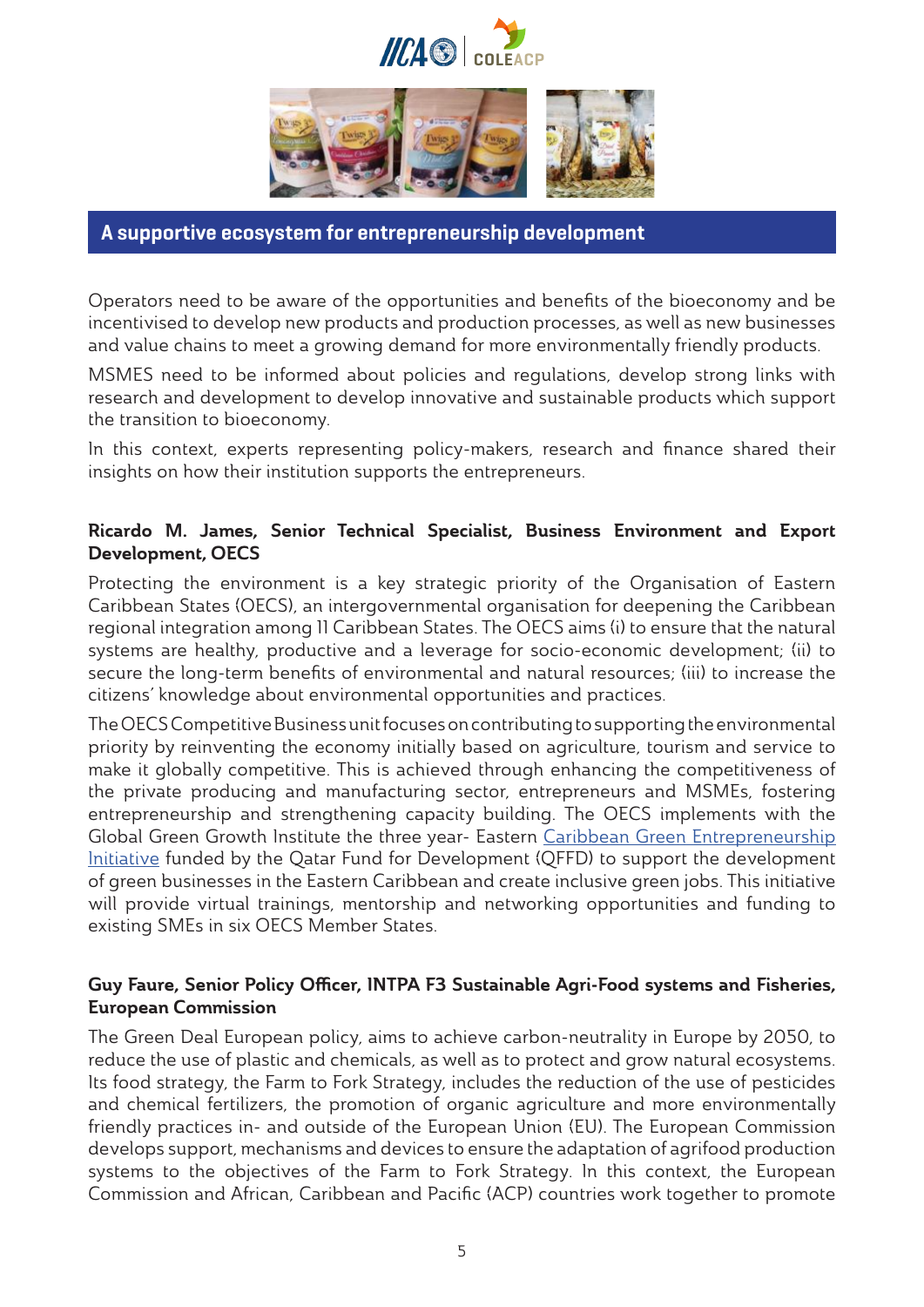



A supportive ecosystem for entrepreneurship development

Operators need to be aware of the opportunities and benefits of the bioeconomy and be incentivised to develop new products and production processes, as well as new businesses and value chains to meet a growing demand for more environmentally friendly products.

MSMES need to be informed about policies and regulations, develop strong links with research and development to develop innovative and sustainable products which support the transition to bioeconomy.

In this context, experts representing policy-makers, research and finance shared their insights on how their institution supports the entrepreneurs.

# Ricardo M. James, Senior Technical Specialist, Business Environment and Export Development, OECS

Protecting the environment is a key strategic priority of the Organisation of Eastern Caribbean States (OECS), an intergovernmental organisation for deepening the Caribbean regional integration among 11 Caribbean States. The OECS aims (i) to ensure that the natural systems are healthy, productive and a leverage for socio-economic development; (ii) to secure the long-term benefits of environmental and natural resources; (iii) to increase the citizens' knowledge about environmental opportunities and practices.

The OECS Competitive Business unit focuses on contributing to supporting the environmental priority by reinventing the economy initially based on agriculture, tourism and service to make it globally competitive. This is achieved through enhancing the competitiveness of the private producing and manufacturing sector, entrepreneurs and MSMEs, fostering entrepreneurship and strengthening capacity building. The OECS implements with the Global Green Growth Institute the three year- Eastern [Caribbean Green Entrepreneurship](https://oecs.org/en/eastern-caribbean-green-entrepreneurs-programmes)  [Initiative](https://oecs.org/en/eastern-caribbean-green-entrepreneurs-programmes) funded by the Qatar Fund for Development (QFFD) to support the development of green businesses in the Eastern Caribbean and create inclusive green jobs. This initiative will provide virtual trainings, mentorship and networking opportunities and funding to existing SMEs in six OECS Member States.

# Guy Faure, Senior Policy Officer, INTPA F3 Sustainable Agri-Food systems and Fisheries, European Commission

The Green Deal European policy, aims to achieve carbon-neutrality in Europe by 2050, to reduce the use of plastic and chemicals, as well as to protect and grow natural ecosystems. Its food strategy, the Farm to Fork Strategy, includes the reduction of the use of pesticides and chemical fertilizers, the promotion of organic agriculture and more environmentally friendly practices in- and outside of the European Union (EU). The European Commission develops support, mechanisms and devices to ensure the adaptation of agrifood production systems to the objectives of the Farm to Fork Strategy. In this context, the European Commission and African, Caribbean and Pacific (ACP) countries work together to promote